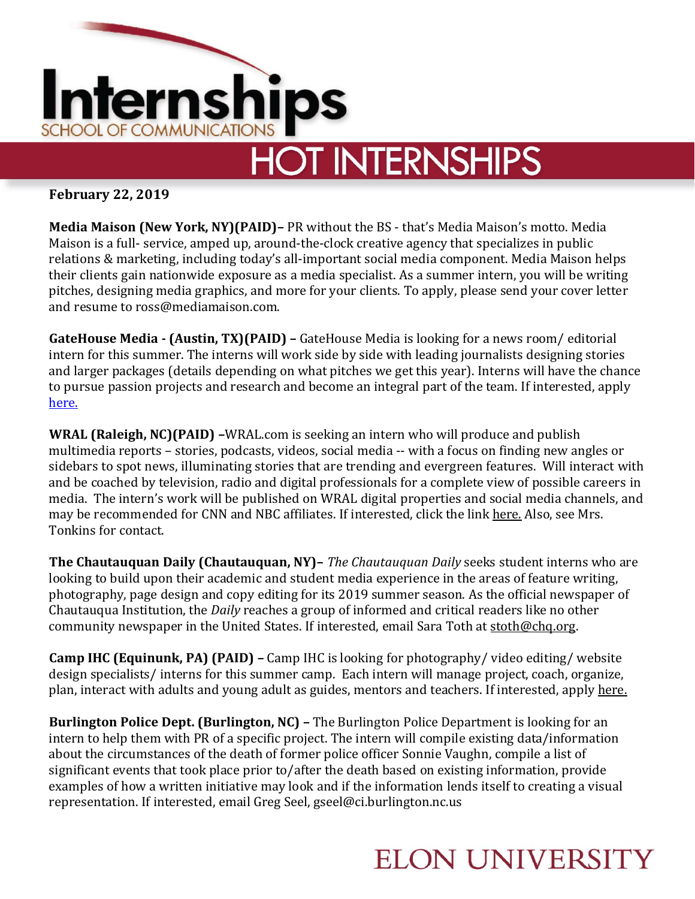

# **HOT INTERNSHIPS**

**February 22, 2019**

**Media Maison (New York, NY)(PAID)–** PR without the BS - that's Media Maison's motto. Media Maison is a full- service, amped up, around-the-clock creative agency that specializes in public relations & marketing, including today's all-important social media component. Media Maison helps their clients gain nationwide exposure as a media specialist. As a summer intern, you will be writing pitches, designing media graphics, and more for your clients. To apply, please send your cover letter and resume to ross@mediamaison.com.

**GateHouse Media - (Austin, TX)(PAID) –** GateHouse Media is looking for a news room/ editorial intern for this summer. The interns will work side by side with leading journalists designing stories and larger packages (details depending on what pitches we get this year). Interns will have the chance to pursue passion projects and research and become an integral part of the team. If interested, apply [here.](https://ghm.applicantstack.com/x/detail/a2n5qet4ietr?utm_campaign=google_jobs_apply&utm_source=google_jobs_apply&utm_medium=organic)

**WRAL (Raleigh, NC)(PAID) –**WRAL.com is seeking an intern who will produce and publish multimedia reports – stories, podcasts, videos, social media -- with a focus on finding new angles or sidebars to spot news, illuminating stories that are trending and evergreen features. Will interact with and be coached by television, radio and digital professionals for a complete view of possible careers in media. The intern's work will be published on WRAL digital properties and social media channels, and may be recommended for CNN and NBC affiliates. If interested, click the link [here.](http://jobs.jobvite.com/capitolbroadcastingcompany/job/oU1s9fwg) Also, see Mrs. Tonkins for contact.

**The Chautauquan Daily (Chautauquan, NY)–** *The Chautauquan Daily* seeks student interns who are looking to build upon their academic and student media experience in the areas of feature writing, photography, page design and copy editing for its 2019 summer season. As the official newspaper of Chautauqua Institution, the *Daily* reaches a group of informed and critical readers like no other community newspaper in the United States. If interested, email Sara Toth at [stoth@chq.org.](mailto:stoth@chq.org)

**Camp IHC (Equinunk, PA) (PAID) –** Camp IHC is looking for photography/ video editing/ website design specialists/ interns for this summer camp. Each intern will manage project, coach, organize, plan, interact with adults and young adult as guides, mentors and teachers. If interested, apply [here.](https://www.campihc.com/activity-specialist)

**Burlington Police Dept. (Burlington, NC) –** The Burlington Police Department is looking for an intern to help them with PR of a specific project. The intern will compile existing data/information about the circumstances of the death of former police officer Sonnie Vaughn, compile a list of significant events that took place prior to/after the death based on existing information, provide examples of how a written initiative may look and if the information lends itself to creating a visual representation. If interested, email Greg Seel, gseel@ci.burlington.nc.us

#### **ELON UNIVERSITY**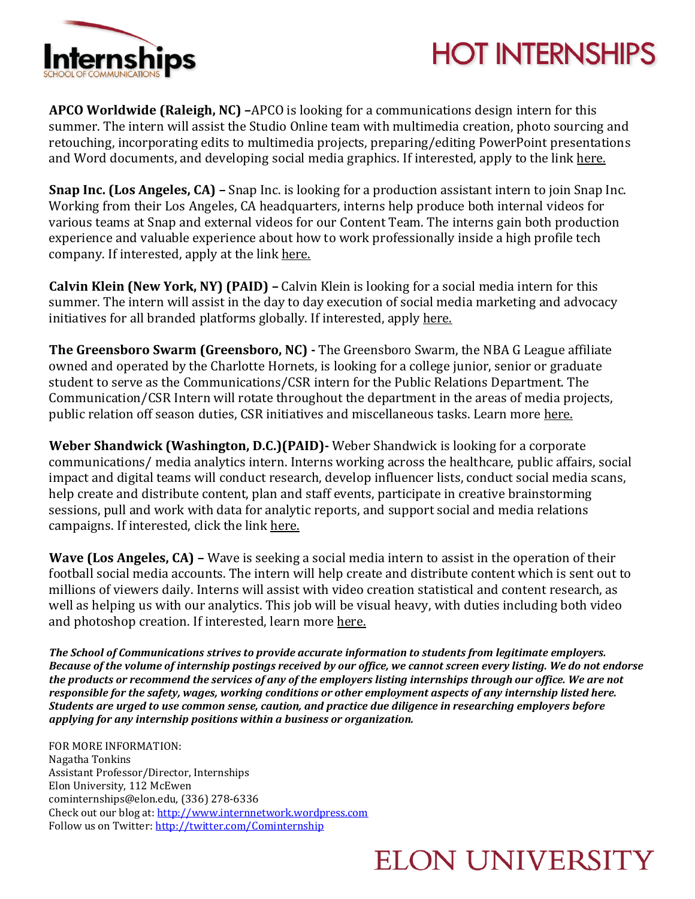

## **HOT INTERNSHIPS**

**APCO Worldwide (Raleigh, NC) –**APCO is looking for a communications design intern for this summer. The intern will assist the Studio Online team with multimedia creation, photo sourcing and retouching, incorporating edits to multimedia projects, preparing/editing PowerPoint presentations and Word documents, and developing social media graphics. If interested, apply to the link [here.](http://jobs.jobvite.com/apco/job/oabs9fwG?__jvst=Job+Board&__jvsd=LinkedIn)

**Snap Inc. (Los Angeles, CA) –** Snap Inc. is looking for a production assistant intern to join Snap Inc. Working from their Los Angeles, CA headquarters, interns help produce both internal videos for various teams at Snap and external videos for our Content Team. The interns gain both production experience and valuable experience about how to work professionally inside a high profile tech company. If interested, apply at the link [here.](https://wd1.myworkdaysite.com/en-US/recruiting/snapchat/snap/job/Los-Angeles-California/AV-Production-Assistant-Intern_R0008266)

**Calvin Klein (New York, NY) (PAID) –** Calvin Klein is looking for a social media intern for this summer. The intern will assist in the day to day execution of social media marketing and advocacy initiatives for all branded platforms globally. If interested, apply [here.](https://careers.pvh.com/global/en/job/PVH1US19541/Social-Media-Intern-Summer-2019-CALVIN-KLEIN?utm_source=indeed&utm_medium=phenom-feeds)

**The Greensboro Swarm (Greensboro, NC) -** The Greensboro Swarm, the NBA G League affiliate owned and operated by the Charlotte Hornets, is looking for a college junior, senior or graduate student to serve as the Communications/CSR intern for the Public Relations Department. The Communication/CSR Intern will rotate throughout the department in the areas of media projects, public relation off season duties, CSR initiatives and miscellaneous tasks. Learn more [here.](https://www.entertainmentcareers.net/charlotte-hornets/summer-paid-intern-swarm-communications-csr/job/283803/)

**Weber Shandwick (Washington, D.C.)(PAID)-** Weber Shandwick is looking for a corporate communications/ media analytics intern. Interns working across the healthcare, public affairs, social impact and digital teams will conduct research, develop influencer lists, conduct social media scans, help create and distribute content, plan and staff events, participate in creative brainstorming sessions, pull and work with data for analytic reports, and support social and media relations campaigns. If interested, click the link [here.](https://ipg.taleo.net/careersection/ws_ext_cs/jobsearch.ftl?lang=en&portal=20100020139)

**Wave (Los Angeles, CA) –** Wave is seeking a social media intern to assist in the operation of their football social media accounts. The intern will help create and distribute content which is sent out to millions of viewers daily. Interns will assist with video creation statistical and content research, as well as helping us with our analytics. This job will be visual heavy, with duties including both video and photoshop creation. If interested, learn more [here.](https://www.linkedin.com/jobs/view/1109432722/)

*The School of Communications strives to provide accurate information to students from legitimate employers.* Because of the volume of internship postings received by our office, we cannot screen every listing. We do not endorse the products or recommend the services of any of the employers listing internships through our office. We are not *responsible for the safety, wages, working conditions or other employment aspects of any internship listed here. Students are urged to use common sense, caution, and practice due diligence in researching employers before applying for any internship positions within a business or organization.*

FOR MORE INFORMATION: Nagatha Tonkins Assistant Professor/Director, Internships Elon University, 112 McEwen cominternships@elon.edu, (336) 278-6336 Check out our blog at: [http://www.internnetwork.wordpress.com](http://www.internnetwork.wordpress.com/) Follow us on Twitter: <http://twitter.com/Cominternship>

#### **ELON UNIVERSITY**